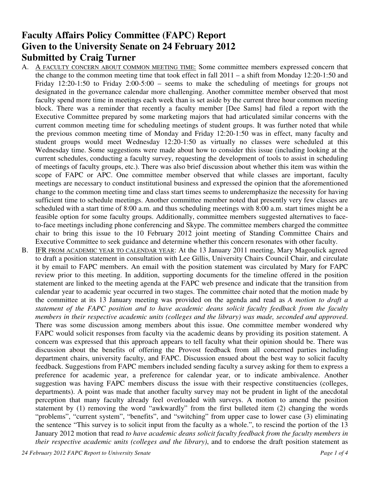# **Faculty Affairs Policy Committee (FAPC) Report Given to the University Senate on 24 February 2012 Submitted by Craig Turner**

- A. A FACULTY CONCERN ABOUT COMMON MEETING TIME: Some committee members expressed concern that the change to the common meeting time that took effect in fall 2011 – a shift from Monday 12:20-1:50 and Friday 12:20-1:50 to Friday 2:00-5:00 – seems to make the scheduling of meetings for groups not designated in the governance calendar more challenging. Another committee member observed that most faculty spend more time in meetings each week than is set aside by the current three hour common meeting block. There was a reminder that recently a faculty member [Dee Sams] had filed a report with the Executive Committee prepared by some marketing majors that had articulated similar concerns with the current common meeting time for scheduling meetings of student groups. It was further noted that while the previous common meeting time of Monday and Friday 12:20-1:50 was in effect, many faculty and student groups would meet Wednesday 12:20-1:50 as virtually no classes were scheduled at this Wednesday time. Some suggestions were made about how to consider this issue (including looking at the current schedules, conducting a faculty survey, requesting the development of tools to assist in scheduling of meetings of faculty groups, etc.). There was also brief discussion about whether this item was within the scope of FAPC or APC. One committee member observed that while classes are important, faculty meetings are necessary to conduct institutional business and expressed the opinion that the aforementioned change to the common meeting time and class start times seems to underemphasize the necessity for having sufficient time to schedule meetings. Another committee member noted that presently very few classes are scheduled with a start time of 8:00 a.m. and thus scheduling meetings with 8:00 a.m. start times might be a feasible option for some faculty groups. Additionally, committee members suggested alternatives to faceto-face meetings including phone conferencing and Skype. The committee members charged the committee chair to bring this issue to the 10 February 2012 joint meeting of Standing Committee Chairs and Executive Committee to seek guidance and determine whether this concern resonates with other faculty.
- B. IFR FROM ACADEMIC YEAR TO CALENDAR YEAR: At the 13 January 2011 meeting, Mary Magoulick agreed to draft a position statement in consultation with Lee Gillis, University Chairs Council Chair, and circulate it by email to FAPC members. An email with the position statement was circulated by Mary for FAPC review prior to this meeting. In addition, supporting documents for the timeline offered in the position statement are linked to the meeting agenda at the FAPC web presence and indicate that the transition from calendar year to academic year occurred in two stages. The committee chair noted that the motion made by the committee at its 13 January meeting was provided on the agenda and read as *A motion to draft a statement of the FAPC position and to have academic deans solicit faculty feedback from the faculty members in their respective academic units (colleges and the library) was made, seconded and approved*. There was some discussion among members about this issue. One committee member wondered why FAPC would solicit responses from faculty via the academic deans by providing its position statement. A concern was expressed that this approach appears to tell faculty what their opinion should be. There was discussion about the benefits of offering the Provost feedback from all concerned parties including department chairs, university faculty, and FAPC. Discussion ensued about the best way to solicit faculty feedback. Suggestions from FAPC members included sending faculty a survey asking for them to express a preference for academic year, a preference for calendar year, or to indicate ambivalence. Another suggestion was having FAPC members discuss the issue with their respective constituencies (colleges, departments). A point was made that another faculty survey may not be prudent in light of the anecdotal perception that many faculty already feel overloaded with surveys. A motion to amend the position statement by (1) removing the word "awkwardly" from the first bulleted item (2) changing the words "problems", "current system", "benefits", and "switching" from upper case to lower case (3) eliminating the sentence "This survey is to solicit input from the faculty as a whole.", to rescind the portion of the 13 January 2012 motion that read *to have academic deans solicit faculty feedback from the faculty members in their respective academic units (colleges and the library)*, and to endorse the draft position statement as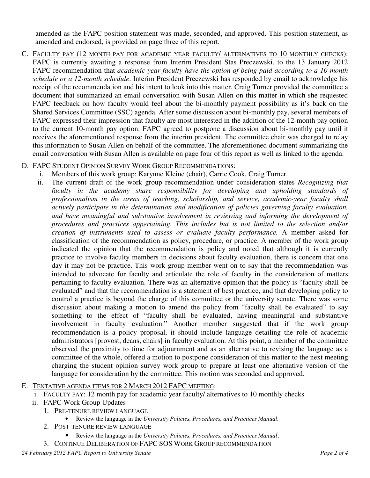amended as the FAPC position statement was made, seconded, and approved. This position statement, as amended and endorsed, is provided on page three of this report.

C. FACULTY PAY (12 MONTH PAY FOR ACADEMIC YEAR FACULTY/ ALTERNATIVES TO 10 MONTHLY CHECKS): FAPC is currently awaiting a response from Interim President Stas Preczewski, to the 13 January 2012 FAPC recommendation that *academic year faculty have the option of being paid according to a 10-month schedule or a 12-month schedule*. Interim President Preczewski has responded by email to acknowledge his receipt of the recommendation and his intent to look into this matter. Craig Turner provided the committee a document that summarized an email conversation with Susan Allen on this matter in which she requested FAPC feedback on how faculty would feel about the bi-monthly payment possibility as it's back on the Shared Services Committee (SSC) agenda. After some discussion about bi-monthly pay, several members of FAPC expressed their impression that faculty are most interested in the addition of the 12-month pay option to the current 10-month pay option. FAPC agreed to postpone a discussion about bi-monthly pay until it receives the aforementioned response from the interim president. The committee chair was charged to relay this information to Susan Allen on behalf of the committee. The aforementioned document summarizing the email conversation with Susan Allen is available on page four of this report as well as linked to the agenda.

### D. FAPC STUDENT OPINION SURVEY WORK GROUP RECOMMENDATIONS:

- i. Members of this work group: Karynne Kleine (chair), Carrie Cook, Craig Turner.
- ii. The current draft of the work group recommendation under consideration states *Recognizing that faculty in the academy share responsibility for developing and upholding standards of professionalism in the areas of teaching, scholarship, and service, academic-year faculty shall actively participate in the determination and modification of policies governing faculty evaluation, and have meaningful and substantive involvement in reviewing and informing the development of procedures and practices appertaining. This includes but is not limited to the selection and/or creation of instruments used to assess or evaluate faculty performance.* A member asked for classification of the recommendation as policy, procedure, or practice. A member of the work group indicated the opinion that the recommendation is policy and noted that although it is currently practice to involve faculty members in decisions about faculty evaluation, there is concern that one day it may not be practice. This work group member went on to say that the recommendation was intended to advocate for faculty and articulate the role of faculty in the consideration of matters pertaining to faculty evaluation. There was an alternative opinion that the policy is "faculty shall be evaluated" and that the recommendation is a statement of best practice, and that developing policy to control a practice is beyond the charge of this committee or the university senate. There was some discussion about making a motion to amend the policy from "faculty shall be evaluated" to say something to the effect of "faculty shall be evaluated, having meaningful and substantive involvement in faculty evaluation." Another member suggested that if the work group recommendation is a policy proposal, it should include language detailing the role of academic administrators [provost, deans, chairs] in faculty evaluation. At this point, a member of the committee observed the proximity to time for adjournment and as an alternative to revising the language as a committee of the whole, offered a motion to postpone consideration of this matter to the next meeting charging the student opinion survey work group to prepare at least one alternative version of the language for consideration by the committee. This motion was seconded and approved.

#### E. TENTATIVE AGENDA ITEMS FOR 2 MARCH 2012 FAPC MEETING:

- i. FACULTY PAY: 12 month pay for academic year faculty/ alternatives to 10 monthly checks
- ii. FAPC Work Group Updates
	- 1. PRE-TENURE REVIEW LANGUAGE
		- Review the language in the *University Policies, Procedures, and Practices Manual*.
	- 2. POST-TENURE REVIEW LANGUAGE
		- Review the language in the *University Policies, Procedures, and Practices Manual*.
	- 3. CONTINUE DELIBERATION OF FAPC SOS WORK GROUP RECOMMENDATION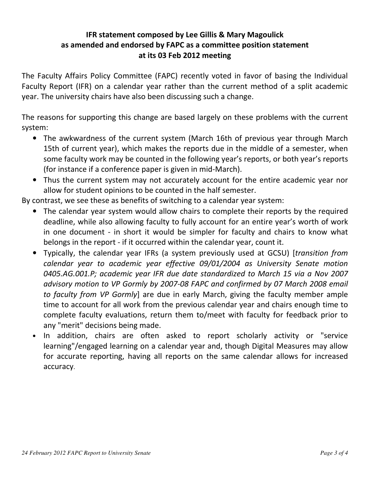### IFR statement composed by Lee Gillis & Mary Magoulick as amended and endorsed by FAPC as a committee position statement at its 03 Feb 2012 meeting

The Faculty Affairs Policy Committee (FAPC) recently voted in favor of basing the Individual Faculty Report (IFR) on a calendar year rather than the current method of a split academic year. The university chairs have also been discussing such a change.

The reasons for supporting this change are based largely on these problems with the current system:

- The awkwardness of the current system (March 16th of previous year through March 15th of current year), which makes the reports due in the middle of a semester, when some faculty work may be counted in the following year's reports, or both year's reports (for instance if a conference paper is given in mid-March).
- Thus the current system may not accurately account for the entire academic year nor allow for student opinions to be counted in the half semester.

By contrast, we see these as benefits of switching to a calendar year system:

- The calendar year system would allow chairs to complete their reports by the required deadline, while also allowing faculty to fully account for an entire year's worth of work in one document - in short it would be simpler for faculty and chairs to know what belongs in the report - if it occurred within the calendar year, count it.
- Typically, the calendar year IFRs (a system previously used at GCSU) [transition from calendar year to academic year effective 09/01/2004 as University Senate motion 0405.AG.001.P; academic year IFR due date standardized to March 15 via a Nov 2007 advisory motion to VP Gormly by 2007-08 FAPC and confirmed by 07 March 2008 email to faculty from VP Gormly] are due in early March, giving the faculty member ample time to account for all work from the previous calendar year and chairs enough time to complete faculty evaluations, return them to/meet with faculty for feedback prior to any "merit" decisions being made.
- In addition, chairs are often asked to report scholarly activity or "service learning"/engaged learning on a calendar year and, though Digital Measures may allow for accurate reporting, having all reports on the same calendar allows for increased accuracy.